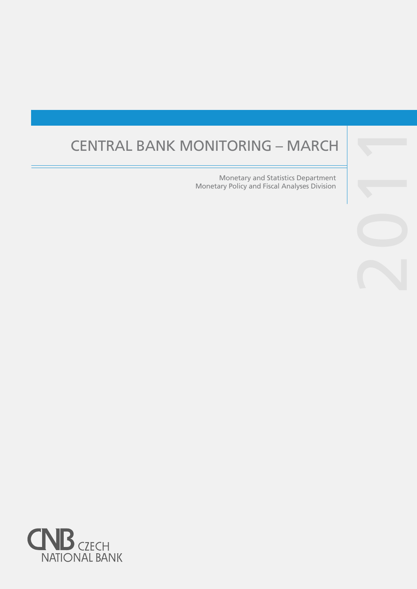# CENTRAL BANK MONITORING – MARCH

Monetary and Statistics Department Monetary Policy and Fiscal Analyses Division



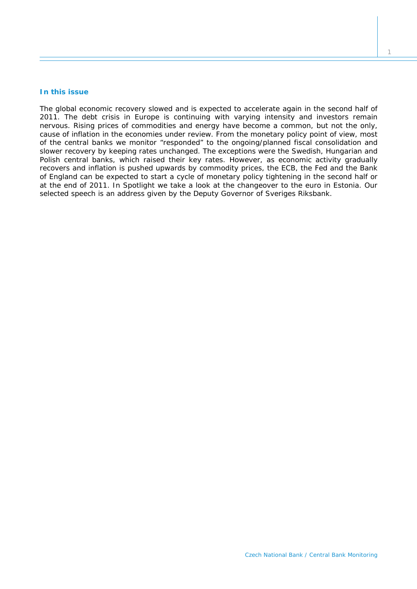#### **In this issue**

The global economic recovery slowed and is expected to accelerate again in the second half of *2011. The debt crisis in Europe is continuing with varying intensity and investors remain nervous. Rising prices of commodities and energy have become a common, but not the only, cause of inflation in the economies under review. From the monetary policy point of view, most of the central banks we monitor "responded" to the ongoing/planned fiscal consolidation and slower recovery by keeping rates unchanged. The exceptions were the Swedish, Hungarian and Polish central banks, which raised their key rates. However, as economic activity gradually recovers and inflation is pushed upwards by commodity prices, the ECB, the Fed and the Bank of England can be expected to start a cycle of monetary policy tightening in the second half or at the end of 2011. In* Spotlight *we take a look at the changeover to the euro in Estonia. Our selected speech is an address given by the Deputy Governor of Sveriges Riksbank.*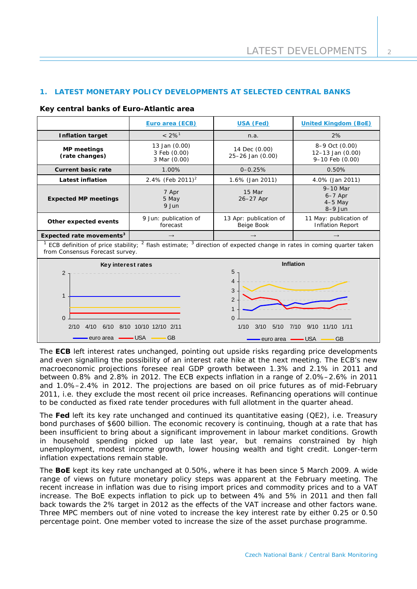# **1. LATEST MONETARY POLICY DEVELOPMENTS AT SELECTED CENTRAL BANKS**

## **Key central banks of Euro-Atlantic area**

|                                      | Euro area (ECB)                               | USA (Fed)                            | <b>United Kingdom (BoE)</b>                                 |
|--------------------------------------|-----------------------------------------------|--------------------------------------|-------------------------------------------------------------|
| <b>Inflation target</b>              | $< 2\%$ <sup>1</sup>                          | n.a.                                 | 2%                                                          |
| <b>MP</b> meetings<br>(rate changes) | 13 Jan (0.00)<br>3 Feb (0.00)<br>3 Mar (0.00) | 14 Dec (0.00)<br>25-26 Jan (0.00)    | 8-9 Oct (0.00)<br>$12 - 13$ Jan $(0.00)$<br>9-10 Feb (0.00) |
| Current basic rate                   | 1.00%                                         | $0 - 0.25%$                          | 0.50%                                                       |
| Latest inflation                     | 2.4% (Feb 2011) <sup>2</sup>                  | 1.6% (Jan 2011)                      | 4.0% (Jan 2011)                                             |
| <b>Expected MP meetings</b>          | 7 Apr<br>5 May<br>9 Jun                       | 15 Mar<br>26-27 Apr                  | $9-10$ Mar<br>$6-7$ Apr<br>$4-5$ May<br>$8-9$ Jun           |
| Other expected events                | 9 Jun: publication of<br>forecast             | 13 Apr: publication of<br>Beige Book | 11 May: publication of<br><b>Inflation Report</b>           |
| Expected rate movements <sup>3</sup> | $\rightarrow$<br>$2 - 1$<br>$2 \ldots$        | $\rightarrow$                        | $\rightarrow$                                               |

<sup>1</sup> ECB definition of price stability; <sup>2</sup> flash estimate; <sup>3</sup> direction of expected change in rates in coming quarter taken from Consensus Forecast survey.



The **ECB** left interest rates unchanged, pointing out upside risks regarding price developments and even signalling the possibility of an interest rate hike at the next meeting. The ECB's new macroeconomic projections foresee real GDP growth between 1.3% and 2.1% in 2011 and between 0.8% and 2.8% in 2012. The ECB expects inflation in a range of 2.0%–2.6% in 2011 and 1.0%–2.4% in 2012. The projections are based on oil price futures as of mid-February 2011, i.e. they exclude the most recent oil price increases. Refinancing operations will continue to be conducted as fixed rate tender procedures with full allotment in the quarter ahead.

The **Fed** left its key rate unchanged and continued its quantitative easing (QE2), i.e. Treasury bond purchases of \$600 billion. The economic recovery is continuing, though at a rate that has been insufficient to bring about a significant improvement in labour market conditions. Growth in household spending picked up late last year, but remains constrained by high unemployment, modest income growth, lower housing wealth and tight credit. Longer-term inflation expectations remain stable.

The **BoE** kept its key rate unchanged at 0.50%, where it has been since 5 March 2009. A wide range of views on future monetary policy steps was apparent at the [February meeting.](http://www.bankofengland.co.uk/publications/minutes/mpc/pdf/2010/mpc1011.pdf) The recent increase in inflation was due to rising import prices and commodity prices and to a VAT increase. The BoE expects inflation to pick up to between 4% and 5% in 2011 and then fall back towards the 2% target in 2012 as the effects of the VAT increase and other factors wane. Three MPC members out of nine voted to increase the key interest rate by either 0.25 or 0.50 percentage point. One member voted to increase the size of the asset purchase programme.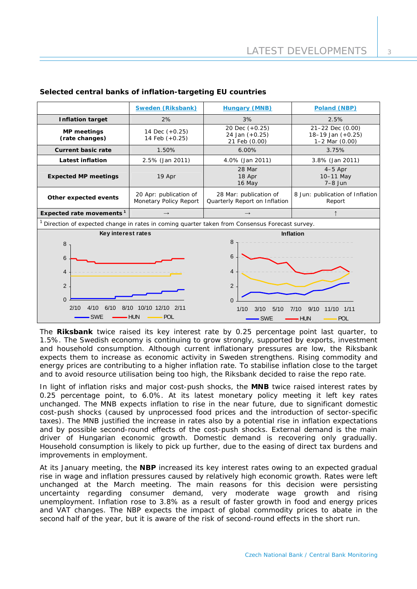|                                                                                               | <b>Sweden (Riksbank)</b>                         | <b>Hungary (MNB)</b>                                    | Poland (NBP)                                                      |  |  |
|-----------------------------------------------------------------------------------------------|--------------------------------------------------|---------------------------------------------------------|-------------------------------------------------------------------|--|--|
| <b>Inflation target</b>                                                                       | 2%                                               | 3%                                                      | 2.5%                                                              |  |  |
| <b>MP</b> meetings<br>(rate changes)                                                          | 14 Dec (+0.25)<br>14 Feb (+0.25)                 | 20 Dec (+0.25)<br>24 Jan (+0.25)<br>21 Feb (0.00)       | 21-22 Dec (0.00)<br>$18 - 19$ Jan $(+0.25)$<br>$1-2$ Mar $(0.00)$ |  |  |
| <b>Current basic rate</b>                                                                     | 1.50%                                            | 6.00%                                                   | 3.75%                                                             |  |  |
| <b>Latest inflation</b>                                                                       | 2.5% (Jan 2011)                                  | 4.0% (Jan 2011)                                         | 3.8% (Jan 2011)                                                   |  |  |
| <b>Expected MP meetings</b>                                                                   | 19 Apr                                           | 28 Mar<br>18 Apr<br>16 May                              | $4-5$ Apr<br>10-11 May<br>$7-8$ Jun                               |  |  |
| Other expected events                                                                         | 20 Apr: publication of<br>Monetary Policy Report | 28 Mar: publication of<br>Quarterly Report on Inflation | 8 Jun: publication of Inflation<br>Report                         |  |  |
| Expected rate movements <sup>1</sup>                                                          | $\rightarrow$                                    |                                                         |                                                                   |  |  |
| Direction of expected change in rates in coming quarter taken from Consensus Forecast survey. |                                                  |                                                         |                                                                   |  |  |
| Key interest rates                                                                            |                                                  | <b>Inflation</b>                                        |                                                                   |  |  |
| 8                                                                                             |                                                  | 8                                                       |                                                                   |  |  |
| 6                                                                                             |                                                  | 6                                                       |                                                                   |  |  |
| 4                                                                                             |                                                  | $\overline{4}$                                          |                                                                   |  |  |
| $\overline{2}$                                                                                |                                                  | 2                                                       |                                                                   |  |  |
| $\Omega$                                                                                      |                                                  | $\Omega$                                                |                                                                   |  |  |
| 2/10<br>4/10<br>6/10                                                                          | 8/10 10/10 12/10 2/11                            | 1/10<br>3/10<br>5/10                                    | 9/10<br>11/10 1/11<br>7/10                                        |  |  |
| <b>SWE</b>                                                                                    | <b>HUN</b><br><b>POL</b>                         | <b>SWE</b>                                              | <b>POL</b><br><b>HUN</b>                                          |  |  |

# **Selected central banks of inflation-targeting EU countries**

The **Riksbank** twice raised its key interest rate by 0.25 percentage point last quarter, to 1.5%. The Swedish economy is continuing to grow strongly, supported by exports, investment and household consumption. Although current inflationary pressures are low, the Riksbank expects them to increase as economic activity in Sweden strengthens. Rising commodity and energy prices are contributing to a higher inflation rate. To stabilise inflation close to the target and to avoid resource utilisation being too high, the Riksbank decided to raise the repo rate.

In light of inflation risks and major cost-push shocks, the **MNB** twice raised interest rates by 0.25 percentage point, to 6.0%. At its latest monetary policy meeting it left key rates unchanged. The MNB expects inflation to rise in the near future, due to significant domestic cost-push shocks (caused by unprocessed food prices and the introduction of sector-specific taxes). The MNB justified the increase in rates also by a potential rise in inflation expectations and by possible second-round effects of the cost-push shocks. External demand is the main driver of Hungarian economic growth. Domestic demand is recovering only gradually. Household consumption is likely to pick up further, due to the easing of direct tax burdens and improvements in employment.

At its January meeting, the **NBP** increased its key interest rates owing to an expected gradual rise in wage and inflation pressures caused by relatively high economic growth. Rates were left unchanged at the March meeting. The main reasons for this decision were persisting uncertainty regarding consumer demand, very moderate wage growth and rising unemployment. Inflation rose to 3.8% as a result of faster growth in food and energy prices and VAT changes. The NBP expects the impact of global commodity prices to abate in the second half of the year, but it is aware of the risk of second-round effects in the short run.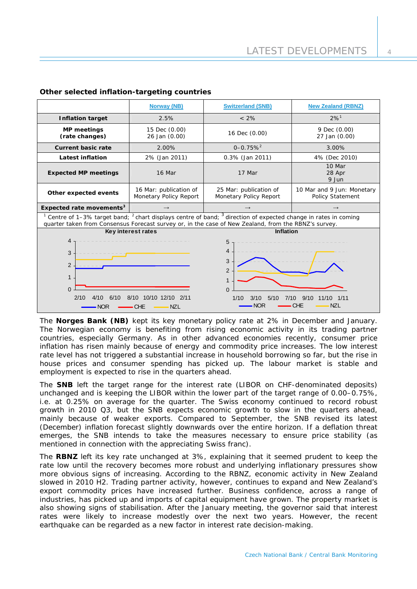|                                                                                                                                                                                                                                              | <b>Norway (NB)</b>                               | <b>Switzerland (SNB)</b>                                                                                                                             | <b>New Zealand (RBNZ)</b>                      |  |  |
|----------------------------------------------------------------------------------------------------------------------------------------------------------------------------------------------------------------------------------------------|--------------------------------------------------|------------------------------------------------------------------------------------------------------------------------------------------------------|------------------------------------------------|--|--|
| <b>Inflation target</b>                                                                                                                                                                                                                      | 2.5%                                             | $< 2\%$                                                                                                                                              | $2\%$ <sup>1</sup>                             |  |  |
| <b>MP</b> meetings<br>(rate changes)                                                                                                                                                                                                         | 15 Dec (0.00)<br>26 Jan (0.00)                   | 16 Dec (0.00)                                                                                                                                        | 9 Dec (0.00)<br>27 Jan (0.00)                  |  |  |
| <b>Current basic rate</b>                                                                                                                                                                                                                    | 2.00%                                            | $0 - 0.75%$ <sup>2</sup>                                                                                                                             | 3.00%                                          |  |  |
| <b>Latest inflation</b>                                                                                                                                                                                                                      | 2% (Jan 2011)                                    | 0.3% (Jan 2011)                                                                                                                                      | 4% (Dec 2010)                                  |  |  |
| <b>Expected MP meetings</b>                                                                                                                                                                                                                  | 16 Mar                                           | 17 Mar                                                                                                                                               | 10 Mar<br>28 Apr<br>9 Jun                      |  |  |
| Other expected events                                                                                                                                                                                                                        | 16 Mar: publication of<br>Monetary Policy Report | 25 Mar: publication of<br>Monetary Policy Report                                                                                                     | 10 Mar and 9 Jun: Monetary<br>Policy Statement |  |  |
| Expected rate movements <sup>3</sup>                                                                                                                                                                                                         | $\rightarrow$                                    |                                                                                                                                                      | $\rightarrow$                                  |  |  |
| Centre of 1-3% target band; <sup>2</sup> chart displays centre of band; <sup>3</sup> direction of expected change in rates in coming<br>quarter taken from Consensus Forecast survey or, in the case of New Zealand, from the RBNZ's survey. |                                                  |                                                                                                                                                      |                                                |  |  |
| Key interest rates                                                                                                                                                                                                                           |                                                  | Inflation                                                                                                                                            |                                                |  |  |
| 4<br>3<br>$\overline{2}$<br>$\mathbf{1}$<br>$\Omega$<br>10/10 12/10 2/11<br>2/10<br>6/10<br>8/10<br>4/10<br><b>NZL</b><br>ЮR                                                                                                                 |                                                  | 5<br>4<br>3<br>$\overline{2}$<br>$\mathbf 1$<br>$\Omega$<br>1/10<br>3/10<br>9/10<br>5/10<br>7/10<br>11/10<br>1/11<br><b>NOR</b><br><b>NZL</b><br>CHE |                                                |  |  |

## **Other selected inflation-targeting countries**

The **Norges Bank (NB)** kept its key monetary policy rate at 2% in December and January. The Norwegian economy is benefiting from rising economic activity in its trading partner countries, especially Germany. As in other advanced economies recently, consumer price inflation has risen mainly because of energy and commodity price increases. The low interest rate level has not triggered a substantial increase in household borrowing so far, but the rise in house prices and consumer spending has picked up. The labour market is stable and employment is expected to rise in the quarters ahead.

The **SNB** left the target range for the interest rate (LIBOR on CHF-denominated deposits) unchanged and is keeping the LIBOR within the lower part of the target range of 0.00–0.75%, i.e. at 0.25% on average for the quarter. The Swiss economy continued to record robust growth in 2010 Q3, but the SNB expects economic growth to slow in the quarters ahead, mainly because of weaker exports. Compared to September, the SNB revised its latest (December) inflation forecast slightly downwards over the entire horizon. If a deflation threat emerges, the SNB intends to take the measures necessary to ensure price stability (as mentioned in connection with the appreciating Swiss franc).

The **RBNZ** left its key rate unchanged at 3%, explaining that it seemed prudent to keep the rate low until the recovery becomes more robust and underlying inflationary pressures show more obvious signs of increasing. According to the RBNZ, economic activity in New Zealand slowed in 2010 H2. Trading partner activity, however, continues to expand and New Zealand's export commodity prices have increased further. Business confidence, across a range of industries, has picked up and imports of capital equipment have grown. The property market is also showing signs of stabilisation. After the January meeting, the governor said that interest rates were likely to increase modestly over the next two years. However, the recent earthquake can be regarded as a new factor in interest rate decision-making.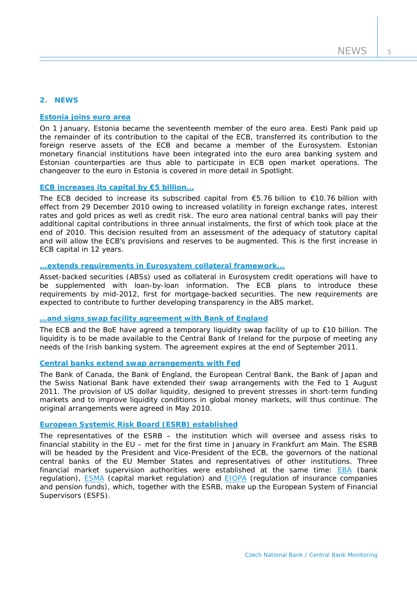# **2. NEWS**

#### **[Estonia joins euro area](http://www.ecb.europa.eu/press/pr/date/2011/html/pr110101.en.html)**

On 1 January, Estonia became the seventeenth member of the euro area. Eesti Pank paid up the remainder of its contribution to the capital of the ECB, transferred its contribution to the foreign reserve assets of the ECB and became a member of the Eurosystem. Estonian monetary financial institutions have been integrated into the euro area banking system and Estonian counterparties are thus able to participate in ECB open market operations. The changeover to the euro in Estonia is covered in more detail in *Spotlight*.

# **[ECB increases its capital by €5 billion...](http://www.ecb.europa.eu/press/pr/date/2010/html/pr101216_2.en.html)**

The ECB decided to increase its subscribed capital from  $\epsilon$ 5.76 billion to  $\epsilon$ 10.76 billion with effect from 29 December 2010 owing to increased volatility in foreign exchange rates, interest rates and gold prices as well as credit risk. The euro area national central banks will pay their additional capital contributions in three annual instalments, the first of which took place at the end of 2010. This decision resulted from an assessment of the adequacy of statutory capital and will allow the ECB's provisions and reserves to be augmented. This is the first increase in ECB capital in 12 years.

# **[...extends requirements in Eurosystem](http://www.ecb.europa.eu/press/pr/date/2010/html/pr101216.en.html) collateral framework...**

Asset-backed securities (ABSs) used as collateral in Eurosystem credit operations will have to be supplemented with loan-by-loan information. The ECB plans to introduce these requirements by mid-2012, first for mortgage-backed securities. The new requirements are expected to contribute to further developing transparency in the ABS market.

## **[…and signs swap facility agreement with Bank of England](http://www.ecb.europa.eu/press/pr/date/2010/html/pr101217.en.html)**

The ECB and the BoE have agreed a temporary liquidity swap facility of up to £10 billion. The liquidity is to be made available to the Central Bank of Ireland for the purpose of meeting any needs of the Irish banking system. The agreement expires at the end of September 2011.

#### **[Central banks extend swap arrangements with Fed](http://www.federalreserve.gov/newsevents/press/monetary/20101221a.htm)**

The Bank of Canada, the Bank of England, the European Central Bank, the Bank of Japan and the Swiss National Bank have extended their swap arrangements with the Fed to 1 August 2011. The provision of US dollar liquidity, designed to prevent stresses in short-term funding markets and to improve liquidity conditions in global money markets, will thus continue. The original arrangements were agreed in May 2010.

#### **[European Systemic Risk Board \(ESRB\)](http://www.esrb.europa.eu/home/html/index.en.html) established**

The representatives of the ESRB – the institution which will oversee and assess risks to financial stability in the EU – met for the first time in January in Frankfurt am Main. The ESRB will be headed by the President and Vice-President of the ECB, the governors of the national central banks of the EU Member States and representatives of other institutions. Three financial market supervision authorities were established at the same time: **EBA** (bank regulation), [ESMA](http://www.esma.europa.eu/) (capital market regulation) and [EIOPA](https://eiopa.europa.eu/) (regulation of insurance companies and pension funds), which, together with the ESRB, make up the European System of Financial Supervisors (ESFS).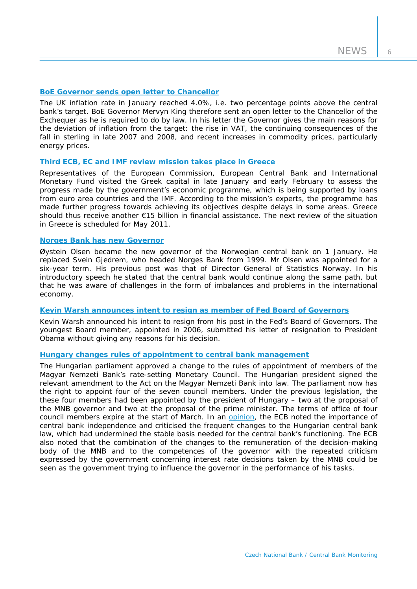6

## **BoE [Governor sends open letter to Chancellor](http://www.bankofengland.co.uk/monetarypolicy/pdf/cpiletter110215.pdf)**

The UK inflation rate in January reached 4.0%, i.e. two percentage points above the central bank's target. BoE Governor Mervyn King therefore sent an open letter to the Chancellor of the Exchequer as he is required to do by law. In his letter the Governor gives the main reasons for the deviation of inflation from the target: the rise in VAT, the continuing consequences of the fall in sterling in late 2007 and 2008, and recent increases in commodity prices, particularly energy prices.

# **[Third ECB, EC and IMF review mission takes place in Greece](http://www.ecb.int/press/pr/date/2011/html/pr110211.en.html)**

Representatives of the European Commission, European Central Bank and International Monetary Fund visited the Greek capital in late January and early February to assess the progress made by the government's economic programme, which is being supported by loans from euro area countries and the IMF. According to the mission's experts, the programme has made further progress towards achieving its objectives despite delays in some areas. Greece should thus receive another €15 billion in financial assistance. The next review of the situation in Greece is scheduled for May 2011.

## **[Norges Bank has new Governor](http://www.norges-bank.no/templates/article____77887.aspx)**

Øystein Olsen became the new governor of the Norwegian central bank on 1 January. He replaced Svein Gjedrem, who headed Norges Bank from 1999. Mr Olsen was appointed for a six-year term. His previous post was that of Director General of Statistics Norway. In his introductory speech he stated that the central bank would continue along the same path, but that he was aware of challenges in the form of imbalances and problems in the international economy.

## **[Kevin Warsh announces intent to resign as member of Fed Board of Governors](http://www.federalreserve.gov/newsevents/press/other/20110210a.htm)**

Kevin Warsh announced his intent to resign from his post in the Fed's Board of Governors. The youngest Board member, appointed in 2006, submitted his letter of resignation to President Obama without giving any reasons for his decision.

# **Hungary changes rules of appointment to central bank management**

The Hungarian parliament approved a change to the rules of appointment of members of the Magyar Nemzeti Bank's rate-setting Monetary Council. The Hungarian president signed the relevant amendment to the Act on the Magyar Nemzeti Bank into law. The parliament now has the right to appoint four of the seven council members. Under the previous legislation, the these four members had been appointed by the president of Hungary – two at the proposal of the MNB governor and two at the proposal of the prime minister. The terms of office of four council members expire at the start of March. In an [opinion](http://www.ecb.europa.eu/ecb/legal/pdf/en_con_2010_91_f.pdf), the ECB noted the importance of central bank independence and criticised the frequent changes to the Hungarian central bank law, which had undermined the stable basis needed for the central bank's functioning. The ECB also noted that the combination of the changes to the remuneration of the decision-making body of the MNB and to the competences of the governor with the repeated criticism expressed by the government concerning interest rate decisions taken by the MNB could be seen as the government trying to influence the governor in the performance of his tasks.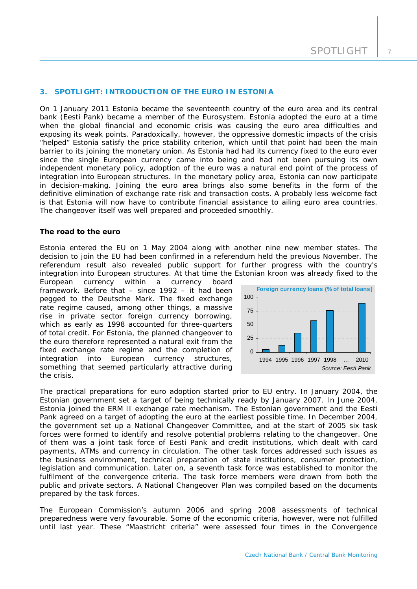## **3. SPOTLIGHT: INTRODUCTION OF THE EURO IN ESTONIA**

*On 1 January 2011 Estonia became the seventeenth country of the euro area and its central bank (Eesti Pank) became a member of the Eurosystem. Estonia adopted the euro at a time*  when the global financial and economic crisis was causing the euro area difficulties and *exposing its weak points. Paradoxically, however, the oppressive domestic impacts of the crisis "helped" Estonia satisfy the price stability criterion, which until that point had been the main barrier to its joining the monetary union. As Estonia had had its currency fixed to the euro ever since the single European currency came into being and had not been pursuing its own independent monetary policy, adoption of the euro was a natural end point of the process of integration into European structures. In the monetary policy area, Estonia can now participate in decision-making. Joining the euro area brings also some benefits in the form of the definitive elimination of exchange rate risk and transaction costs. A probably less welcome fact is that Estonia will now have to contribute financial assistance to ailing euro area countries. The changeover itself was well prepared and proceeded smoothly.* 

#### **The road to the euro**

Estonia entered the EU on 1 May 2004 along with another nine new member states. The decision to join the EU had been confirmed in a referendum held the previous November. The referendum result also revealed public support for further progress with the country's integration into European structures. At that time the Estonian kroon was already fixed to the

European currency within a currency board framework. Before that – since 1992 – it had been pegged to the Deutsche Mark. The fixed exchange rate regime caused, among other things, a massive rise in private sector foreign currency borrowing, which as early as 1998 accounted for three-quarters of total credit. For Estonia, the planned changeover to the euro therefore represented a natural exit from the fixed exchange rate regime and the completion of integration into European currency structures, something that seemed particularly attractive during the crisis.



The practical preparations for euro adoption started prior to EU entry. In January 2004, the Estonian government set a target of being technically ready by January 2007. In June 2004, Estonia joined the ERM II exchange rate mechanism. The Estonian government and the Eesti Pank agreed on a target of adopting the euro at the earliest possible time. In December 2004, the government set up a *National Changeover Committee*, and at the start of 2005 six task forces were formed to identify and resolve potential problems relating to the changeover. One of them was a joint task force of Eesti Pank and credit institutions, which dealt with card payments, ATMs and currency in circulation. The other task forces addressed such issues as the business environment, technical preparation of state institutions, consumer protection, legislation and communication. Later on, a seventh task force was established to monitor the fulfilment of the convergence criteria. The task force members were drawn from both the public and private sectors. A *National Changeover Plan* was compiled based on the documents prepared by the task forces.

The European Commission's autumn 2006 and spring 2008 assessments of technical preparedness were very favourable. Some of the economic criteria, however, were not fulfilled until last year. These "Maastricht criteria" were assessed four times in the Convergence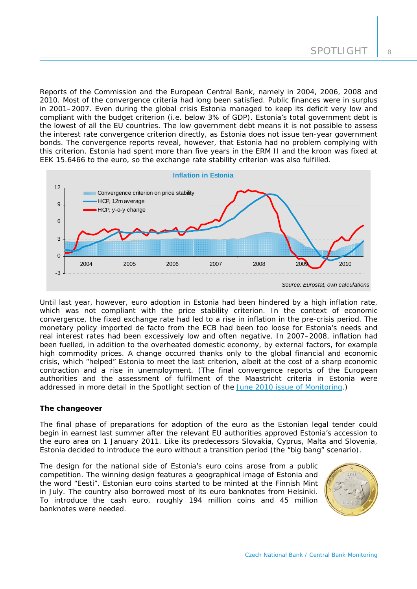Reports of the Commission and the European Central Bank, namely in 2004, 2006, 2008 and 2010. Most of the convergence criteria had long been satisfied. Public finances were in surplus in 2001–2007. Even during the global crisis Estonia managed to keep its deficit very low and compliant with the budget criterion (i.e. below 3% of GDP). Estonia's total government debt is the lowest of all the EU countries. The low government debt means it is not possible to assess the interest rate convergence criterion directly, as Estonia does not issue ten-year government bonds. The convergence reports reveal, however, that Estonia had no problem complying with this criterion. Estonia had spent more than five years in the ERM II and the kroon was fixed at EEK 15.6466 to the euro, so the exchange rate stability criterion was also fulfilled.



Until last year, however, euro adoption in Estonia had been hindered by a high inflation rate, which was not compliant with the price stability criterion. In the context of economic convergence, the fixed exchange rate had led to a rise in inflation in the pre-crisis period. The monetary policy imported *de facto* from the ECB had been too loose for Estonia's needs and real interest rates had been excessively low and often negative. In 2007–2008, inflation had been fuelled, in addition to the overheated domestic economy, by external factors, for example high commodity prices. A change occurred thanks only to the global financial and economic crisis, which "helped" Estonia to meet the last criterion, albeit at the cost of a sharp economic contraction and a rise in unemployment. (The final convergence reports of the European authorities and the assessment of fulfilment of the Maastricht criteria in Estonia were addressed in more detail in the Spotlight section of the [June 2010 issue of Monitoring](http://www.cnb.cz/miranda2/export/sites/www.cnb.cz/cs/menova_politika/monitoring_centralnich_bank/download/1002_mcb.pdf).)

# **The changeover**

The final phase of preparations for adoption of the euro as the Estonian legal tender could begin in earnest last summer after the relevant EU authorities approved Estonia's accession to the euro area on 1 January 2011. Like its predecessors Slovakia, Cyprus, Malta and Slovenia, Estonia decided to introduce the euro without a transition period (the "big bang" scenario).

The design for the national side of Estonia's euro coins arose from a public competition. The winning design features a geographical image of Estonia and the word "Eesti". Estonian euro coins started to be minted at the Finnish Mint in July. The country also borrowed most of its euro banknotes from Helsinki. To introduce the cash euro, roughly 194 million coins and 45 million banknotes were needed.

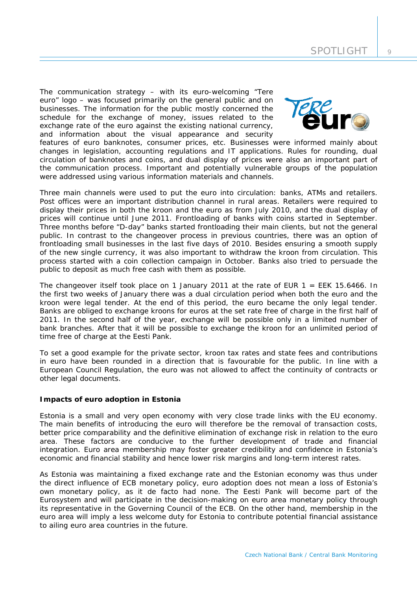The communication strategy – with its euro-welcoming "Tere euro" logo – was focused primarily on the general public and on businesses. The information for the public mostly concerned the schedule for the exchange of money, issues related to the exchange rate of the euro against the existing national currency, and information about the visual appearance and security



features of euro banknotes, consumer prices, etc. Businesses were informed mainly about changes in legislation, accounting regulations and IT applications. Rules for rounding, dual circulation of banknotes and coins, and dual display of prices were also an important part of the communication process. Important and potentially vulnerable groups of the population were addressed using various information materials and channels.

Three main channels were used to put the euro into circulation: banks, ATMs and retailers. Post offices were an important distribution channel in rural areas. Retailers were required to display their prices in both the kroon and the euro as from July 2010, and the dual display of prices will continue until June 2011. Frontloading of banks with coins started in September. Three months before "D-day" banks started frontloading their main clients, but not the general public. In contrast to the changeover process in previous countries, there was an option of frontloading small businesses in the last five days of 2010. Besides ensuring a smooth supply of the new single currency, it was also important to withdraw the kroon from circulation. This process started with a coin collection campaign in October. Banks also tried to persuade the public to deposit as much free cash with them as possible.

The changeover itself took place on 1 January 2011 at the rate of EUR  $1 = EEK$  15.6466. In the first two weeks of January there was a dual circulation period when both the euro and the kroon were legal tender. At the end of this period, the euro became the only legal tender. Banks are obliged to exchange kroons for euros at the set rate free of charge in the first half of 2011. In the second half of the year, exchange will be possible only in a limited number of bank branches. After that it will be possible to exchange the kroon for an unlimited period of time free of charge at the Eesti Pank.

To set a good example for the private sector, kroon tax rates and state fees and contributions in euro have been rounded in a direction that is favourable for the public. In line with a European Council Regulation, the euro was not allowed to affect the continuity of contracts or other legal documents.

# **Impacts of euro adoption in Estonia**

Estonia is a small and very open economy with very close trade links with the EU economy. The main benefits of introducing the euro will therefore be the removal of transaction costs, better price comparability and the definitive elimination of exchange risk in relation to the euro area. These factors are conducive to the further development of trade and financial integration. Euro area membership may foster greater credibility and confidence in Estonia's economic and financial stability and hence lower risk margins and long-term interest rates.

As Estonia was maintaining a fixed exchange rate and the Estonian economy was thus under the direct influence of ECB monetary policy, euro adoption does not mean a loss of Estonia's own monetary policy, as it de facto had none. The Eesti Pank will become part of the Eurosystem and will participate in the decision-making on euro area monetary policy through its representative in the Governing Council of the ECB. On the other hand, membership in the euro area will imply a less welcome duty for Estonia to contribute potential financial assistance to ailing euro area countries in the future.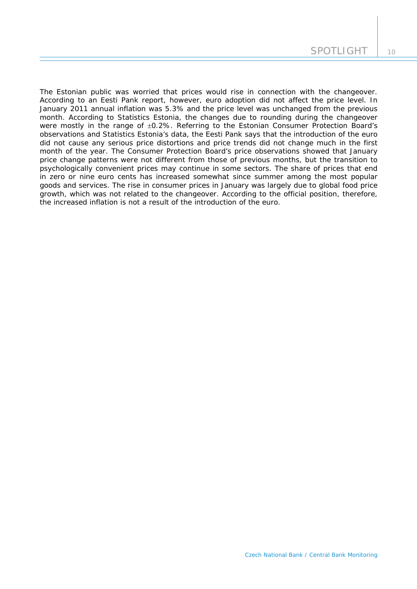The Estonian public was worried that prices would rise in connection with the changeover. According to an Eesti Pank report, however, euro adoption did not affect the price level. In January 2011 annual inflation was 5.3% and the price level was unchanged from the previous month. According to Statistics Estonia, the changes due to rounding during the changeover were mostly in the range of  $\pm 0.2$ %. Referring to the Estonian Consumer Protection Board's observations and Statistics Estonia's data, the Eesti Pank says that the introduction of the euro did not cause any serious price distortions and price trends did not change much in the first month of the year. The Consumer Protection Board's price observations showed that January price change patterns were not different from those of previous months, but the transition to psychologically convenient prices may continue in some sectors. The share of prices that end in zero or nine euro cents has increased somewhat since summer among the most popular goods and services. The rise in consumer prices in January was largely due to global food price growth, which was not related to the changeover. According to the official position, therefore, the increased inflation is not a result of the introduction of the euro.